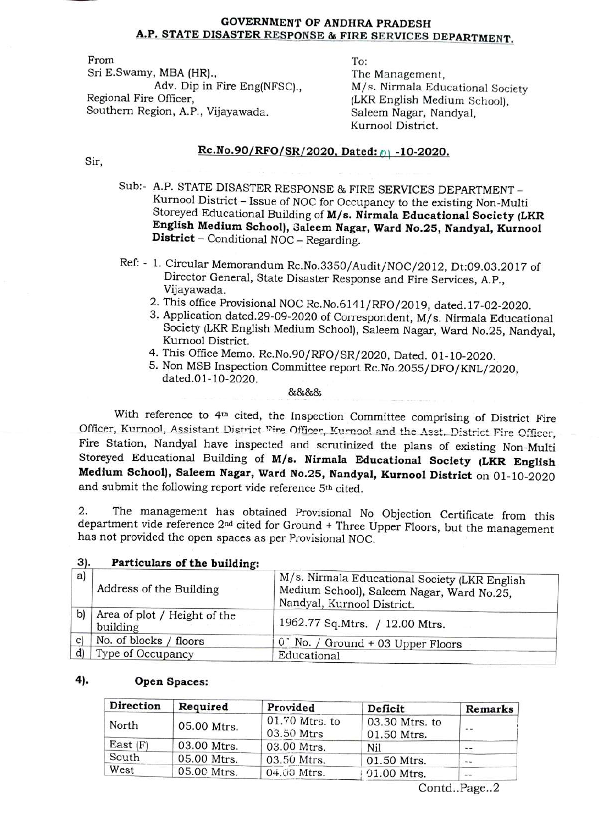## GOVERNMENT OF ANDHRA PRADESH A.P. STATE DISASTER RESPONSE & FIRE SERVICES DEPARTMENT.

From To: Sri E.Swamy, MBA (HR)., The Management, Adv. Dip in Fire Eng(NFSC)., Regional Fire Officer, Southern Region, A.P., Vijayawada.

M/s. Nirmala Educational Society (LKR English Medium School), Saleem Nagar, Nandyal, Kurnool District.

# Sir, Rc.No.90/RFO/SR/2020, Dated:  $0.901$  -10-2020.

- Sub:- A.P. STATE DISASTER RESPONSE & FIRE SERVICES DEPARTMENT Kurnool District - Issue of NOC for Occupancy to the existing Non-Multi Storeyed Educational Building of M/s. Nirmala Educational Society (LKR English Medium School), 3aleem Nagar, Ward No.25, Nandyal, Kurnool District - Conditional NOC - Regarding.
- Ref: 1. Circular Memorandum Rc.No.3350/Audit/NOC/2012, Dt:09.03.2017 of Director General, State Disaster Response and Fire Services, A.P., Vijayawada.<br>2. This office Provisional NOC Rc.No.6141/RFO/2019, dated. 17-02-2020.
	-
	- 3. Application dated.29-09-2020 of Correspondent, M/s. Nirmala Educational Society (LKR English Medium School), Saleem Nagar, Ward No.25, Nandyal, Kurnool District.<br>4. This Office Memo. Rc.No.90/RFO/SR/2020, Dated. 01-10-2020.
	-
	- 5. Non MSB Inspection Committee report Rc.No.2055/DFO/KNL/2020, dated.01-10-2020.

&&&&

With reference to 4th cited, the Inspection Committee comprising of District Fire Officer, Kurnool, Assistant District <sup>17</sup>ire Officer, Kurnool and the Asst. District Fire Officer, Fire Station, Nandyal have inspected and scrutinized the plans of existing Non-Multi Storeyed Educational Building of M/s. Nirmala Educational Society (LKR English Medium School), Saleem Nagar, Ward No.25, Nandyal, Kurnool District on 01-10-2020 and submit the following report vide reference 5th cited.

2. The management has obtained Provisional No Objection Certificate from this department vide reference 2nd cited for Ground + Three Upper Floors, but the management has not provided the open spaces as per Provisional NOC.

| a)           | Address of the Building                  | M/s. Nirmala Educational Society (LKR English<br>Medium School), Saleem Nagar, Ward No.25,<br>Nandyal, Kurnool District. |  |  |
|--------------|------------------------------------------|--------------------------------------------------------------------------------------------------------------------------|--|--|
| b)           | Area of plot / Height of the<br>building | 1962.77 Sq. Mtrs. / 12.00 Mtrs.                                                                                          |  |  |
| $\mathbf{C}$ | No. of blocks / floors                   | $0'$ No. / Ground + 03 Upper Floors                                                                                      |  |  |
| d)           | Type of Occupancy                        | Educational                                                                                                              |  |  |

# $3$ . Particulars of the building:

### 4). Open Spaces:

| Direction  | Required    | Provided                     | Deficit                       | <b>Remarks</b><br>$- -$ |
|------------|-------------|------------------------------|-------------------------------|-------------------------|
| North      | 05.00 Mtrs. | 01.70 Mtrs. to<br>03.50 Mtrs | 03.30 Mtrs. to<br>01.50 Mtrs. |                         |
| East $(F)$ | 03.00 Mtrs. | 03.00 Mtrs.                  | Nil                           | --                      |
| South      | 05.00 Mtrs. | 03.50 Mtrs.                  | 01.50 Mtrs.                   | $-1$                    |
| West       | 05.00 Mtrs. | 04.00 Mtrs.                  | 01.00 Mtrs.                   | $- -$                   |

Contd..Page..2